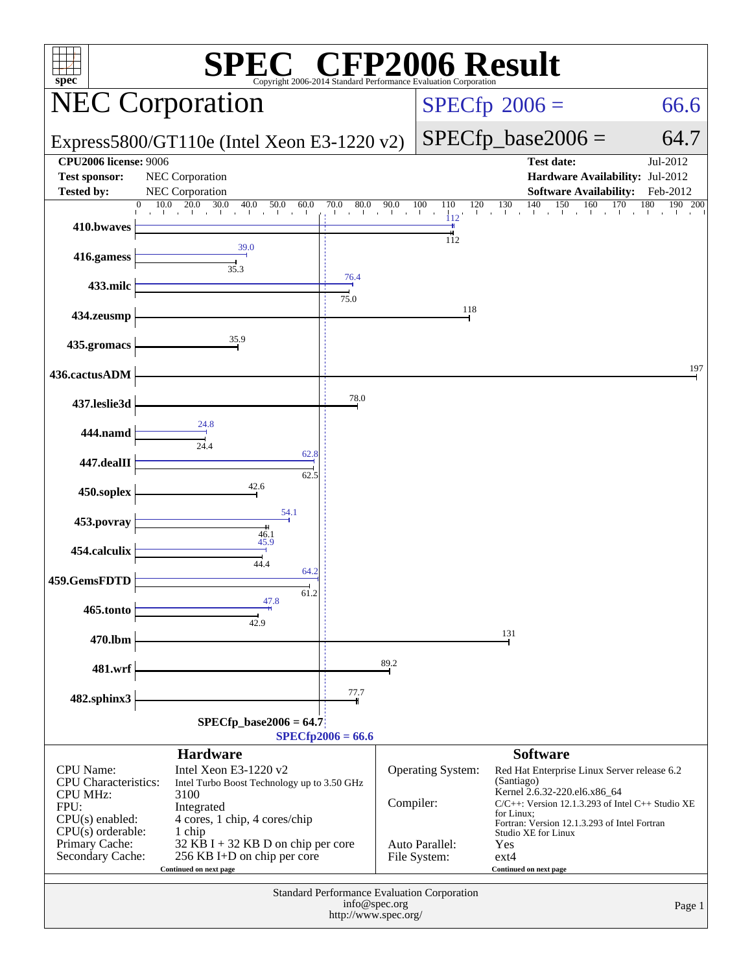| $\mathbb{C}^{\circ}$ CFP2006 Result<br>spec <sup>®</sup><br>Copyright 2006-2014 Standard Performance Evaluation Corporation                           |                                                                                                                                                                                                                                                             |                     |                            |                                                     |                                                                                                                                                                                                                                                                                                         |                                    |  |  |
|-------------------------------------------------------------------------------------------------------------------------------------------------------|-------------------------------------------------------------------------------------------------------------------------------------------------------------------------------------------------------------------------------------------------------------|---------------------|----------------------------|-----------------------------------------------------|---------------------------------------------------------------------------------------------------------------------------------------------------------------------------------------------------------------------------------------------------------------------------------------------------------|------------------------------------|--|--|
|                                                                                                                                                       | <b>NEC Corporation</b>                                                                                                                                                                                                                                      |                     |                            |                                                     | $SPECfp^{\circ}2006 =$                                                                                                                                                                                                                                                                                  | 66.6                               |  |  |
|                                                                                                                                                       | Express5800/GT110e (Intel Xeon E3-1220 v2)                                                                                                                                                                                                                  |                     |                            |                                                     | $SPECfp\_base2006 =$                                                                                                                                                                                                                                                                                    | 64.7                               |  |  |
| <b>CPU2006</b> license: 9006<br><b>Test sponsor:</b><br><b>Tested by:</b>                                                                             | NEC Corporation<br><b>NEC</b> Corporation                                                                                                                                                                                                                   |                     |                            |                                                     | <b>Test date:</b><br>Hardware Availability: Jul-2012<br><b>Software Availability:</b>                                                                                                                                                                                                                   | Jul-2012<br>Feb-2012               |  |  |
| 410.bwaves                                                                                                                                            | 20.0<br>30.0<br>10.0<br>40.0<br>50.0<br>60.0<br>$\mathbf{0}$<br>The Committee of the Com-<br>and the car                                                                                                                                                    | 70.0                | $0 \t 80.0 \t 90.0 \t 100$ | 100<br>120<br>110<br>$\mathbf{I}$<br>112            | 130<br>140<br>150<br>160<br>and the con-                                                                                                                                                                                                                                                                | 170<br>180<br>$\overline{190}$ 200 |  |  |
| 416.gamess                                                                                                                                            | 39.0<br>35.3                                                                                                                                                                                                                                                |                     |                            | 112                                                 |                                                                                                                                                                                                                                                                                                         |                                    |  |  |
| 433.milc                                                                                                                                              |                                                                                                                                                                                                                                                             | 76.4<br>75.0        |                            |                                                     |                                                                                                                                                                                                                                                                                                         |                                    |  |  |
| 434.zeusmp                                                                                                                                            |                                                                                                                                                                                                                                                             |                     |                            | 118                                                 |                                                                                                                                                                                                                                                                                                         |                                    |  |  |
| 435.gromacs                                                                                                                                           | 35.9                                                                                                                                                                                                                                                        |                     |                            |                                                     |                                                                                                                                                                                                                                                                                                         | 197                                |  |  |
| 436.cactusADM<br>437.leslie3d                                                                                                                         |                                                                                                                                                                                                                                                             | 78.0                |                            |                                                     |                                                                                                                                                                                                                                                                                                         |                                    |  |  |
| 444.namd                                                                                                                                              | 24.8                                                                                                                                                                                                                                                        |                     |                            |                                                     |                                                                                                                                                                                                                                                                                                         |                                    |  |  |
| 447.dealII                                                                                                                                            | 24.4<br>62.8<br>62.5                                                                                                                                                                                                                                        |                     |                            |                                                     |                                                                                                                                                                                                                                                                                                         |                                    |  |  |
| 450.soplex                                                                                                                                            | 42.6                                                                                                                                                                                                                                                        |                     |                            |                                                     |                                                                                                                                                                                                                                                                                                         |                                    |  |  |
| 453.povray                                                                                                                                            | 54.1<br>46.1<br>45.9                                                                                                                                                                                                                                        |                     |                            |                                                     |                                                                                                                                                                                                                                                                                                         |                                    |  |  |
| 454.calculix<br>459.GemsFDTD                                                                                                                          | 44.4<br>64.2                                                                                                                                                                                                                                                |                     |                            |                                                     |                                                                                                                                                                                                                                                                                                         |                                    |  |  |
| 465.tonto                                                                                                                                             | 61.2<br>47.8                                                                                                                                                                                                                                                |                     |                            |                                                     |                                                                                                                                                                                                                                                                                                         |                                    |  |  |
| 470.lbm                                                                                                                                               | 42.9                                                                                                                                                                                                                                                        |                     |                            |                                                     | 131                                                                                                                                                                                                                                                                                                     |                                    |  |  |
| 481.wrf                                                                                                                                               |                                                                                                                                                                                                                                                             |                     | 89.2                       |                                                     |                                                                                                                                                                                                                                                                                                         |                                    |  |  |
| 482.sphinx3                                                                                                                                           | $SPECfp\_base2006 = 64.7$                                                                                                                                                                                                                                   | 77.7                |                            |                                                     |                                                                                                                                                                                                                                                                                                         |                                    |  |  |
|                                                                                                                                                       |                                                                                                                                                                                                                                                             | $SPECfp2006 = 66.6$ |                            |                                                     |                                                                                                                                                                                                                                                                                                         |                                    |  |  |
| CPU Name:<br><b>CPU</b> Characteristics:<br><b>CPU MHz:</b><br>FPU:<br>$CPU(s)$ enabled:<br>$CPU(s)$ orderable:<br>Primary Cache:<br>Secondary Cache: | <b>Hardware</b><br>Intel Xeon E3-1220 $v2$<br>Intel Turbo Boost Technology up to 3.50 GHz<br>3100<br>Integrated<br>4 cores, 1 chip, 4 cores/chip<br>1 chip<br>$32$ KB I + 32 KB D on chip per core<br>256 KB I+D on chip per core<br>Continued on next page |                     | Compiler:                  | Operating System:<br>Auto Parallel:<br>File System: | <b>Software</b><br>Red Hat Enterprise Linux Server release 6.2<br>(Santiago)<br>Kernel 2.6.32-220.el6.x86_64<br>$C/C++$ : Version 12.1.3.293 of Intel $C++$ Studio XE<br>for Linux;<br>Fortran: Version 12.1.3.293 of Intel Fortran<br>Studio XE for Linux<br>Yes<br>$ext{4}$<br>Continued on next page |                                    |  |  |
| Standard Performance Evaluation Corporation<br>info@spec.org<br>Page 1<br>http://www.spec.org/                                                        |                                                                                                                                                                                                                                                             |                     |                            |                                                     |                                                                                                                                                                                                                                                                                                         |                                    |  |  |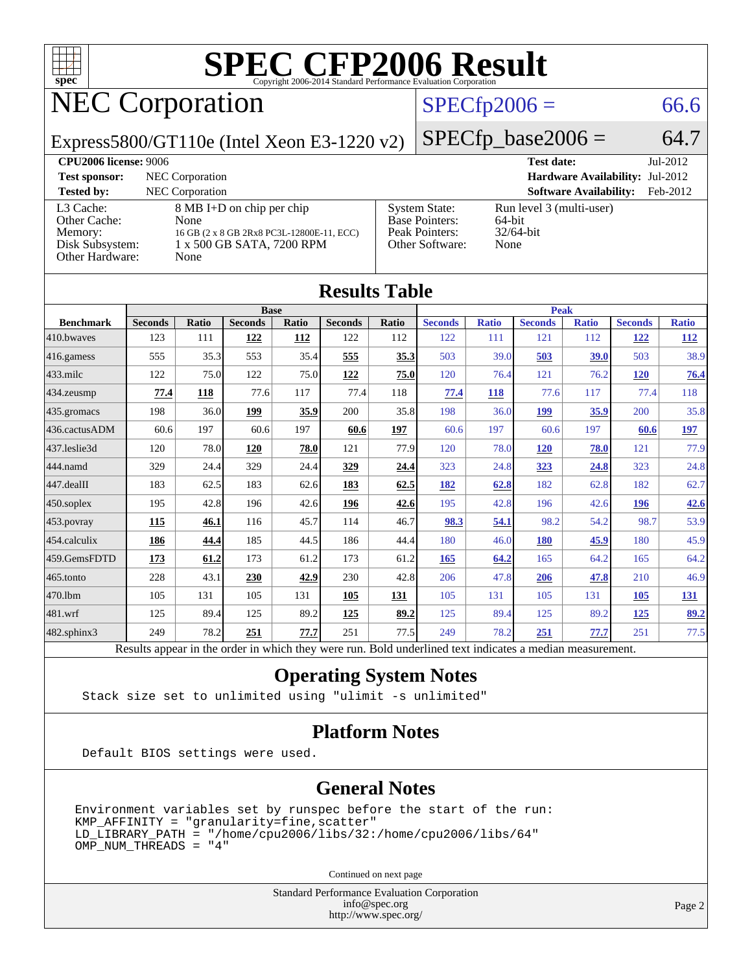

# NEC Corporation

[L3 Cache:](http://www.spec.org/auto/cpu2006/Docs/result-fields.html#L3Cache) 8 MB I+D on chip per chip<br>Other Cache: None

[Memory:](http://www.spec.org/auto/cpu2006/Docs/result-fields.html#Memory) 16 GB (2 x 8 GB 2Rx8 PC3L-12800E-11, ECC) [Disk Subsystem:](http://www.spec.org/auto/cpu2006/Docs/result-fields.html#DiskSubsystem) 1 x 500 GB SATA, 7200 RPM

#### $SPECfp2006 = 66.6$  $SPECfp2006 = 66.6$

[System State:](http://www.spec.org/auto/cpu2006/Docs/result-fields.html#SystemState) Run level 3 (multi-user)<br>Base Pointers: 64-bit

[Base Pointers:](http://www.spec.org/auto/cpu2006/Docs/result-fields.html#BasePointers) 64-bit<br>Peak Pointers: 32/64-bit

[Other Software:](http://www.spec.org/auto/cpu2006/Docs/result-fields.html#OtherSoftware) None

[Peak Pointers:](http://www.spec.org/auto/cpu2006/Docs/result-fields.html#PeakPointers)

Express5800/GT110e (Intel Xeon E3-1220 v2)

| <b>CPU2006 license: 9006</b> |  |  |
|------------------------------|--|--|
|------------------------------|--|--|

[Other Hardware:](http://www.spec.org/auto/cpu2006/Docs/result-fields.html#OtherHardware) None

[Other Cache:](http://www.spec.org/auto/cpu2006/Docs/result-fields.html#OtherCache)

 $SPECfp\_base2006 = 64.7$ **[CPU2006 license:](http://www.spec.org/auto/cpu2006/Docs/result-fields.html#CPU2006license)** 9006 **[Test date:](http://www.spec.org/auto/cpu2006/Docs/result-fields.html#Testdate)** Jul-2012 **[Test sponsor:](http://www.spec.org/auto/cpu2006/Docs/result-fields.html#Testsponsor)** NEC Corporation **[Hardware Availability:](http://www.spec.org/auto/cpu2006/Docs/result-fields.html#HardwareAvailability)** Jul-2012 **[Tested by:](http://www.spec.org/auto/cpu2006/Docs/result-fields.html#Testedby)** NEC Corporation **[Software Availability:](http://www.spec.org/auto/cpu2006/Docs/result-fields.html#SoftwareAvailability)** Feb-2012

| <b>Results Table</b>                                                                                     |                |              |                |       |                |              |                |              |                |              |                |              |
|----------------------------------------------------------------------------------------------------------|----------------|--------------|----------------|-------|----------------|--------------|----------------|--------------|----------------|--------------|----------------|--------------|
|                                                                                                          | <b>Base</b>    |              |                |       |                | Peak         |                |              |                |              |                |              |
| <b>Benchmark</b>                                                                                         | <b>Seconds</b> | <b>Ratio</b> | <b>Seconds</b> | Ratio | <b>Seconds</b> | <b>Ratio</b> | <b>Seconds</b> | <b>Ratio</b> | <b>Seconds</b> | <b>Ratio</b> | <b>Seconds</b> | <b>Ratio</b> |
| 410.bwayes                                                                                               | 123            | 111          | 122            | 112   | 122            | 112          | 122            | 111          | 121            | 112          | 122            | <b>112</b>   |
| 416.gamess                                                                                               | 555            | 35.3         | 553            | 35.4  | 555            | 35.3         | 503            | 39.0         | 503            | 39.0         | 503            | 38.9         |
| 433.milc                                                                                                 | 122            | 75.0         | 122            | 75.0  | 122            | 75.0         | 120            | 76.4         | 121            | 76.2         | 120            | 76.4         |
| 434.zeusmp                                                                                               | 77.4           | 118          | 77.6           | 117   | 77.4           | 118          | 77.4           | 118          | 77.6           | 117          | 77.4           | 118          |
| 435.gromacs                                                                                              | 198            | 36.0         | 199            | 35.9  | 200            | 35.8         | 198            | 36.0         | 199            | 35.9         | 200            | 35.8         |
| 436.cactusADM                                                                                            | 60.6           | 197          | 60.6           | 197   | 60.6           | 197          | 60.6           | 197          | 60.6           | 197          | 60.6           | 197          |
| 437.leslie3d                                                                                             | 120            | 78.0         | 120            | 78.0  | 121            | 77.9         | 120            | 78.0         | <b>120</b>     | 78.0         | 121            | 77.9         |
| 444.namd                                                                                                 | 329            | 24.4         | 329            | 24.4  | 329            | 24.4         | 323            | 24.8         | 323            | 24.8         | 323            | 24.8         |
| 447.dealII                                                                                               | 183            | 62.5         | 183            | 62.6  | 183            | 62.5         | 182            | 62.8         | 182            | 62.8         | 182            | 62.7         |
| 450.soplex                                                                                               | 195            | 42.8         | 196            | 42.6  | 196            | 42.6         | 195            | 42.8         | 196            | 42.6         | 196            | 42.6         |
| 453.povray                                                                                               | 115            | 46.1         | 116            | 45.7  | 114            | 46.7         | 98.3           | 54.1         | 98.2           | 54.2         | 98.7           | 53.9         |
| 454.calculix                                                                                             | 186            | 44.4         | 185            | 44.5  | 186            | 44.4         | 180            | 46.0         | 180            | 45.9         | 180            | 45.9         |
| 459.GemsFDTD                                                                                             | 173            | 61.2         | 173            | 61.2  | 173            | 61.2         | 165            | 64.2         | 165            | 64.2         | 165            | 64.2         |
| 465.tonto                                                                                                | 228            | 43.1         | 230            | 42.9  | 230            | 42.8         | 206            | 47.8         | 206            | 47.8         | 210            | 46.9         |
| 470.1bm                                                                                                  | 105            | 131          | 105            | 131   | 105            | 131          | 105            | 131          | 105            | 131          | <b>105</b>     | 131          |
| 481.wrf                                                                                                  | 125            | 89.4         | 125            | 89.2  | 125            | 89.2         | 125            | 89.4         | 125            | 89.2         | 125            | 89.2         |
| 482.sphinx3                                                                                              | 249            | 78.2         | 251            | 77.7  | 251            | 77.5         | 249            | 78.2         | 251            | 77.7         | 251            | 77.5         |
| Results appear in the order in which they were run. Bold underlined text indicates a median measurement. |                |              |                |       |                |              |                |              |                |              |                |              |

#### **[Operating System Notes](http://www.spec.org/auto/cpu2006/Docs/result-fields.html#OperatingSystemNotes)**

Stack size set to unlimited using "ulimit -s unlimited"

#### **[Platform Notes](http://www.spec.org/auto/cpu2006/Docs/result-fields.html#PlatformNotes)**

Default BIOS settings were used.

#### **[General Notes](http://www.spec.org/auto/cpu2006/Docs/result-fields.html#GeneralNotes)**

Environment variables set by runspec before the start of the run: KMP\_AFFINITY = "granularity=fine,scatter" LD\_LIBRARY\_PATH = "/home/cpu2006/libs/32:/home/cpu2006/libs/64" OMP\_NUM\_THREADS = "4"

Continued on next page

Standard Performance Evaluation Corporation [info@spec.org](mailto:info@spec.org) <http://www.spec.org/>

Page 2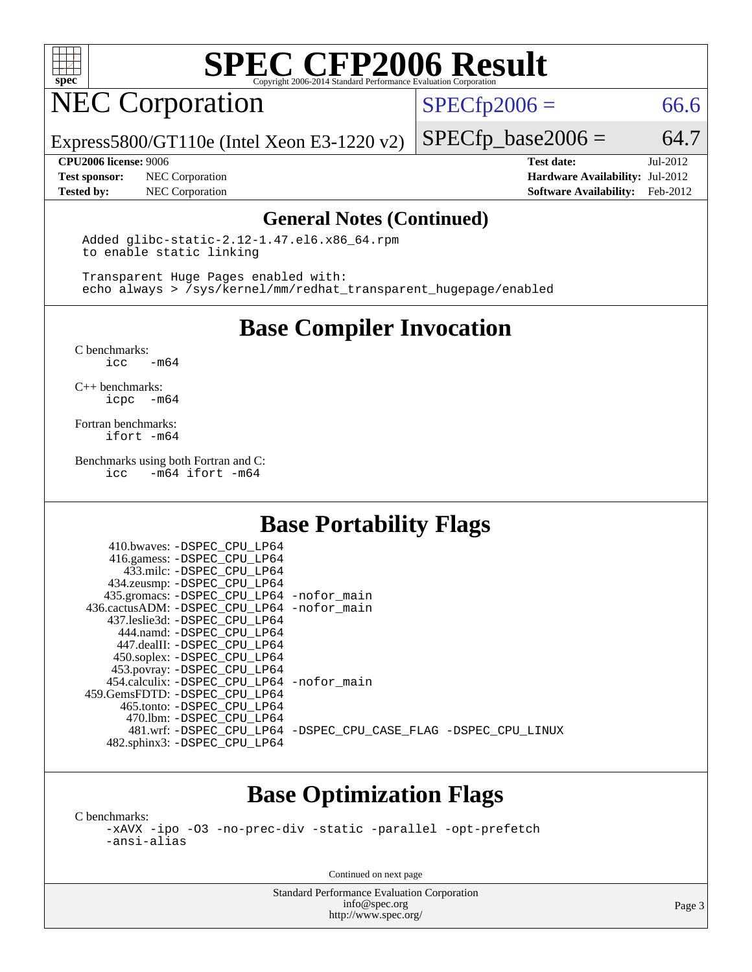

## NEC Corporation

 $SPECTp2006 = 66.6$ 

Express5800/GT110e (Intel Xeon E3-1220 v2)

**[Test sponsor:](http://www.spec.org/auto/cpu2006/Docs/result-fields.html#Testsponsor)** NEC Corporation **[Hardware Availability:](http://www.spec.org/auto/cpu2006/Docs/result-fields.html#HardwareAvailability)** Jul-2012

 $SPECTp\_base2006 = 64.7$ **[CPU2006 license:](http://www.spec.org/auto/cpu2006/Docs/result-fields.html#CPU2006license)** 9006 **[Test date:](http://www.spec.org/auto/cpu2006/Docs/result-fields.html#Testdate)** Jul-2012

**[Tested by:](http://www.spec.org/auto/cpu2006/Docs/result-fields.html#Testedby)** NEC Corporation **[Software Availability:](http://www.spec.org/auto/cpu2006/Docs/result-fields.html#SoftwareAvailability)** Feb-2012

#### **[General Notes \(Continued\)](http://www.spec.org/auto/cpu2006/Docs/result-fields.html#GeneralNotes)**

 Added glibc-static-2.12-1.47.el6.x86\_64.rpm to enable static linking

 Transparent Huge Pages enabled with: echo always > /sys/kernel/mm/redhat\_transparent\_hugepage/enabled

**[Base Compiler Invocation](http://www.spec.org/auto/cpu2006/Docs/result-fields.html#BaseCompilerInvocation)**

[C benchmarks](http://www.spec.org/auto/cpu2006/Docs/result-fields.html#Cbenchmarks):  $-m64$ 

[C++ benchmarks:](http://www.spec.org/auto/cpu2006/Docs/result-fields.html#CXXbenchmarks) [icpc -m64](http://www.spec.org/cpu2006/results/res2012q3/cpu2006-20120713-23662.flags.html#user_CXXbase_intel_icpc_64bit_bedb90c1146cab66620883ef4f41a67e)

[Fortran benchmarks](http://www.spec.org/auto/cpu2006/Docs/result-fields.html#Fortranbenchmarks): [ifort -m64](http://www.spec.org/cpu2006/results/res2012q3/cpu2006-20120713-23662.flags.html#user_FCbase_intel_ifort_64bit_ee9d0fb25645d0210d97eb0527dcc06e)

[Benchmarks using both Fortran and C](http://www.spec.org/auto/cpu2006/Docs/result-fields.html#BenchmarksusingbothFortranandC): [icc -m64](http://www.spec.org/cpu2006/results/res2012q3/cpu2006-20120713-23662.flags.html#user_CC_FCbase_intel_icc_64bit_0b7121f5ab7cfabee23d88897260401c) [ifort -m64](http://www.spec.org/cpu2006/results/res2012q3/cpu2006-20120713-23662.flags.html#user_CC_FCbase_intel_ifort_64bit_ee9d0fb25645d0210d97eb0527dcc06e)

### **[Base Portability Flags](http://www.spec.org/auto/cpu2006/Docs/result-fields.html#BasePortabilityFlags)**

| 410.bwaves: -DSPEC CPU LP64                 |                                                                |
|---------------------------------------------|----------------------------------------------------------------|
| 416.gamess: -DSPEC_CPU_LP64                 |                                                                |
| 433.milc: -DSPEC CPU LP64                   |                                                                |
| 434.zeusmp: -DSPEC_CPU_LP64                 |                                                                |
| 435.gromacs: -DSPEC_CPU_LP64 -nofor_main    |                                                                |
| 436.cactusADM: -DSPEC CPU LP64 -nofor main  |                                                                |
| 437.leslie3d: -DSPEC CPU LP64               |                                                                |
| 444.namd: -DSPEC CPU LP64                   |                                                                |
| 447.dealII: -DSPEC CPU LP64                 |                                                                |
| 450.soplex: -DSPEC_CPU_LP64                 |                                                                |
| 453.povray: -DSPEC_CPU_LP64                 |                                                                |
| 454.calculix: - DSPEC CPU LP64 - nofor main |                                                                |
| 459.GemsFDTD: -DSPEC CPU LP64               |                                                                |
| 465.tonto: -DSPEC_CPU LP64                  |                                                                |
| 470.1bm: - DSPEC CPU LP64                   |                                                                |
|                                             | 481.wrf: -DSPEC CPU_LP64 -DSPEC_CPU_CASE_FLAG -DSPEC_CPU_LINUX |
| 482.sphinx3: -DSPEC_CPU_LP64                |                                                                |

### **[Base Optimization Flags](http://www.spec.org/auto/cpu2006/Docs/result-fields.html#BaseOptimizationFlags)**

[C benchmarks](http://www.spec.org/auto/cpu2006/Docs/result-fields.html#Cbenchmarks):

[-xAVX](http://www.spec.org/cpu2006/results/res2012q3/cpu2006-20120713-23662.flags.html#user_CCbase_f-xAVX) [-ipo](http://www.spec.org/cpu2006/results/res2012q3/cpu2006-20120713-23662.flags.html#user_CCbase_f-ipo) [-O3](http://www.spec.org/cpu2006/results/res2012q3/cpu2006-20120713-23662.flags.html#user_CCbase_f-O3) [-no-prec-div](http://www.spec.org/cpu2006/results/res2012q3/cpu2006-20120713-23662.flags.html#user_CCbase_f-no-prec-div) [-static](http://www.spec.org/cpu2006/results/res2012q3/cpu2006-20120713-23662.flags.html#user_CCbase_f-static) [-parallel](http://www.spec.org/cpu2006/results/res2012q3/cpu2006-20120713-23662.flags.html#user_CCbase_f-parallel) [-opt-prefetch](http://www.spec.org/cpu2006/results/res2012q3/cpu2006-20120713-23662.flags.html#user_CCbase_f-opt-prefetch) [-ansi-alias](http://www.spec.org/cpu2006/results/res2012q3/cpu2006-20120713-23662.flags.html#user_CCbase_f-ansi-alias)

Continued on next page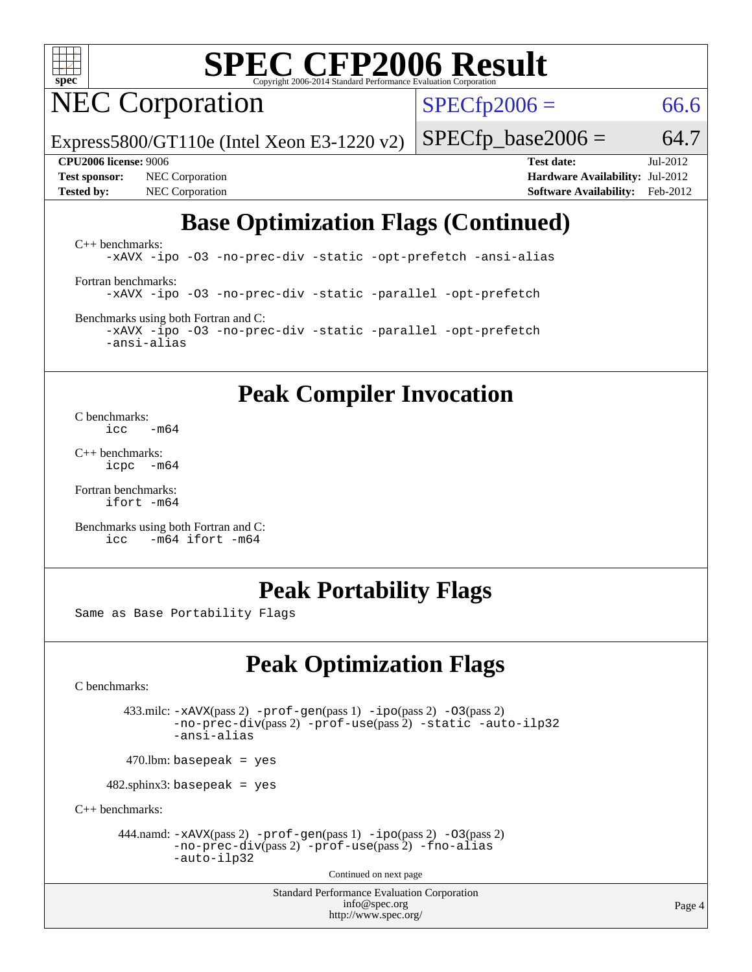

# NEC Corporation

 $SPECfp2006 = 66.6$  $SPECfp2006 = 66.6$ 

Express5800/GT110e (Intel Xeon E3-1220 v2)

**[Tested by:](http://www.spec.org/auto/cpu2006/Docs/result-fields.html#Testedby)** NEC Corporation **[Software Availability:](http://www.spec.org/auto/cpu2006/Docs/result-fields.html#SoftwareAvailability)** Feb-2012

 $SPECTp\_base2006 = 64.7$ **[CPU2006 license:](http://www.spec.org/auto/cpu2006/Docs/result-fields.html#CPU2006license)** 9006 **[Test date:](http://www.spec.org/auto/cpu2006/Docs/result-fields.html#Testdate)** Jul-2012 **[Test sponsor:](http://www.spec.org/auto/cpu2006/Docs/result-fields.html#Testsponsor)** NEC Corporation **[Hardware Availability:](http://www.spec.org/auto/cpu2006/Docs/result-fields.html#HardwareAvailability)** Jul-2012

### **[Base Optimization Flags \(Continued\)](http://www.spec.org/auto/cpu2006/Docs/result-fields.html#BaseOptimizationFlags)**

[C++ benchmarks:](http://www.spec.org/auto/cpu2006/Docs/result-fields.html#CXXbenchmarks) [-xAVX](http://www.spec.org/cpu2006/results/res2012q3/cpu2006-20120713-23662.flags.html#user_CXXbase_f-xAVX) [-ipo](http://www.spec.org/cpu2006/results/res2012q3/cpu2006-20120713-23662.flags.html#user_CXXbase_f-ipo) [-O3](http://www.spec.org/cpu2006/results/res2012q3/cpu2006-20120713-23662.flags.html#user_CXXbase_f-O3) [-no-prec-div](http://www.spec.org/cpu2006/results/res2012q3/cpu2006-20120713-23662.flags.html#user_CXXbase_f-no-prec-div) [-static](http://www.spec.org/cpu2006/results/res2012q3/cpu2006-20120713-23662.flags.html#user_CXXbase_f-static) [-opt-prefetch](http://www.spec.org/cpu2006/results/res2012q3/cpu2006-20120713-23662.flags.html#user_CXXbase_f-opt-prefetch) [-ansi-alias](http://www.spec.org/cpu2006/results/res2012q3/cpu2006-20120713-23662.flags.html#user_CXXbase_f-ansi-alias) [Fortran benchmarks](http://www.spec.org/auto/cpu2006/Docs/result-fields.html#Fortranbenchmarks): [-xAVX](http://www.spec.org/cpu2006/results/res2012q3/cpu2006-20120713-23662.flags.html#user_FCbase_f-xAVX) [-ipo](http://www.spec.org/cpu2006/results/res2012q3/cpu2006-20120713-23662.flags.html#user_FCbase_f-ipo) [-O3](http://www.spec.org/cpu2006/results/res2012q3/cpu2006-20120713-23662.flags.html#user_FCbase_f-O3) [-no-prec-div](http://www.spec.org/cpu2006/results/res2012q3/cpu2006-20120713-23662.flags.html#user_FCbase_f-no-prec-div) [-static](http://www.spec.org/cpu2006/results/res2012q3/cpu2006-20120713-23662.flags.html#user_FCbase_f-static) [-parallel](http://www.spec.org/cpu2006/results/res2012q3/cpu2006-20120713-23662.flags.html#user_FCbase_f-parallel) [-opt-prefetch](http://www.spec.org/cpu2006/results/res2012q3/cpu2006-20120713-23662.flags.html#user_FCbase_f-opt-prefetch)

[Benchmarks using both Fortran and C](http://www.spec.org/auto/cpu2006/Docs/result-fields.html#BenchmarksusingbothFortranandC): [-xAVX](http://www.spec.org/cpu2006/results/res2012q3/cpu2006-20120713-23662.flags.html#user_CC_FCbase_f-xAVX) [-ipo](http://www.spec.org/cpu2006/results/res2012q3/cpu2006-20120713-23662.flags.html#user_CC_FCbase_f-ipo) [-O3](http://www.spec.org/cpu2006/results/res2012q3/cpu2006-20120713-23662.flags.html#user_CC_FCbase_f-O3) [-no-prec-div](http://www.spec.org/cpu2006/results/res2012q3/cpu2006-20120713-23662.flags.html#user_CC_FCbase_f-no-prec-div) [-static](http://www.spec.org/cpu2006/results/res2012q3/cpu2006-20120713-23662.flags.html#user_CC_FCbase_f-static) [-parallel](http://www.spec.org/cpu2006/results/res2012q3/cpu2006-20120713-23662.flags.html#user_CC_FCbase_f-parallel) [-opt-prefetch](http://www.spec.org/cpu2006/results/res2012q3/cpu2006-20120713-23662.flags.html#user_CC_FCbase_f-opt-prefetch) [-ansi-alias](http://www.spec.org/cpu2006/results/res2012q3/cpu2006-20120713-23662.flags.html#user_CC_FCbase_f-ansi-alias)

### **[Peak Compiler Invocation](http://www.spec.org/auto/cpu2006/Docs/result-fields.html#PeakCompilerInvocation)**

[C benchmarks](http://www.spec.org/auto/cpu2006/Docs/result-fields.html#Cbenchmarks):  $\frac{1}{2}$ cc  $-\text{m64}$ 

[C++ benchmarks:](http://www.spec.org/auto/cpu2006/Docs/result-fields.html#CXXbenchmarks) [icpc -m64](http://www.spec.org/cpu2006/results/res2012q3/cpu2006-20120713-23662.flags.html#user_CXXpeak_intel_icpc_64bit_bedb90c1146cab66620883ef4f41a67e)

[Fortran benchmarks](http://www.spec.org/auto/cpu2006/Docs/result-fields.html#Fortranbenchmarks): [ifort -m64](http://www.spec.org/cpu2006/results/res2012q3/cpu2006-20120713-23662.flags.html#user_FCpeak_intel_ifort_64bit_ee9d0fb25645d0210d97eb0527dcc06e)

[Benchmarks using both Fortran and C](http://www.spec.org/auto/cpu2006/Docs/result-fields.html#BenchmarksusingbothFortranandC): [icc -m64](http://www.spec.org/cpu2006/results/res2012q3/cpu2006-20120713-23662.flags.html#user_CC_FCpeak_intel_icc_64bit_0b7121f5ab7cfabee23d88897260401c) [ifort -m64](http://www.spec.org/cpu2006/results/res2012q3/cpu2006-20120713-23662.flags.html#user_CC_FCpeak_intel_ifort_64bit_ee9d0fb25645d0210d97eb0527dcc06e)

### **[Peak Portability Flags](http://www.spec.org/auto/cpu2006/Docs/result-fields.html#PeakPortabilityFlags)**

Same as Base Portability Flags

### **[Peak Optimization Flags](http://www.spec.org/auto/cpu2006/Docs/result-fields.html#PeakOptimizationFlags)**

[C benchmarks](http://www.spec.org/auto/cpu2006/Docs/result-fields.html#Cbenchmarks):

 433.milc: [-xAVX](http://www.spec.org/cpu2006/results/res2012q3/cpu2006-20120713-23662.flags.html#user_peakPASS2_CFLAGSPASS2_LDFLAGS433_milc_f-xAVX)(pass 2) [-prof-gen](http://www.spec.org/cpu2006/results/res2012q3/cpu2006-20120713-23662.flags.html#user_peakPASS1_CFLAGSPASS1_LDFLAGS433_milc_prof_gen_e43856698f6ca7b7e442dfd80e94a8fc)(pass 1) [-ipo](http://www.spec.org/cpu2006/results/res2012q3/cpu2006-20120713-23662.flags.html#user_peakPASS2_CFLAGSPASS2_LDFLAGS433_milc_f-ipo)(pass 2) [-O3](http://www.spec.org/cpu2006/results/res2012q3/cpu2006-20120713-23662.flags.html#user_peakPASS2_CFLAGSPASS2_LDFLAGS433_milc_f-O3)(pass 2) [-no-prec-div](http://www.spec.org/cpu2006/results/res2012q3/cpu2006-20120713-23662.flags.html#user_peakPASS2_CFLAGSPASS2_LDFLAGS433_milc_f-no-prec-div)(pass 2) [-prof-use](http://www.spec.org/cpu2006/results/res2012q3/cpu2006-20120713-23662.flags.html#user_peakPASS2_CFLAGSPASS2_LDFLAGS433_milc_prof_use_bccf7792157ff70d64e32fe3e1250b55)(pass 2) [-static](http://www.spec.org/cpu2006/results/res2012q3/cpu2006-20120713-23662.flags.html#user_peakOPTIMIZE433_milc_f-static) [-auto-ilp32](http://www.spec.org/cpu2006/results/res2012q3/cpu2006-20120713-23662.flags.html#user_peakCOPTIMIZE433_milc_f-auto-ilp32) [-ansi-alias](http://www.spec.org/cpu2006/results/res2012q3/cpu2006-20120713-23662.flags.html#user_peakCOPTIMIZE433_milc_f-ansi-alias)

 $470.$ lbm: basepeak = yes

482.sphinx3: basepeak = yes

[C++ benchmarks:](http://www.spec.org/auto/cpu2006/Docs/result-fields.html#CXXbenchmarks)

444.namd:  $-xAVX(pass 2)$  $-xAVX(pass 2)$  [-prof-gen](http://www.spec.org/cpu2006/results/res2012q3/cpu2006-20120713-23662.flags.html#user_peakPASS1_CXXFLAGSPASS1_LDFLAGS444_namd_prof_gen_e43856698f6ca7b7e442dfd80e94a8fc)(pass 1) [-ipo](http://www.spec.org/cpu2006/results/res2012q3/cpu2006-20120713-23662.flags.html#user_peakPASS2_CXXFLAGSPASS2_LDFLAGS444_namd_f-ipo)(pass 2) [-O3](http://www.spec.org/cpu2006/results/res2012q3/cpu2006-20120713-23662.flags.html#user_peakPASS2_CXXFLAGSPASS2_LDFLAGS444_namd_f-O3)(pass 2) [-no-prec-div](http://www.spec.org/cpu2006/results/res2012q3/cpu2006-20120713-23662.flags.html#user_peakPASS2_CXXFLAGSPASS2_LDFLAGS444_namd_f-no-prec-div)(pass 2) [-prof-use](http://www.spec.org/cpu2006/results/res2012q3/cpu2006-20120713-23662.flags.html#user_peakPASS2_CXXFLAGSPASS2_LDFLAGS444_namd_prof_use_bccf7792157ff70d64e32fe3e1250b55)(pass 2) [-fno-alias](http://www.spec.org/cpu2006/results/res2012q3/cpu2006-20120713-23662.flags.html#user_peakCXXOPTIMIZEOPTIMIZE444_namd_f-no-alias_694e77f6c5a51e658e82ccff53a9e63a) [-auto-ilp32](http://www.spec.org/cpu2006/results/res2012q3/cpu2006-20120713-23662.flags.html#user_peakCXXOPTIMIZE444_namd_f-auto-ilp32)

Continued on next page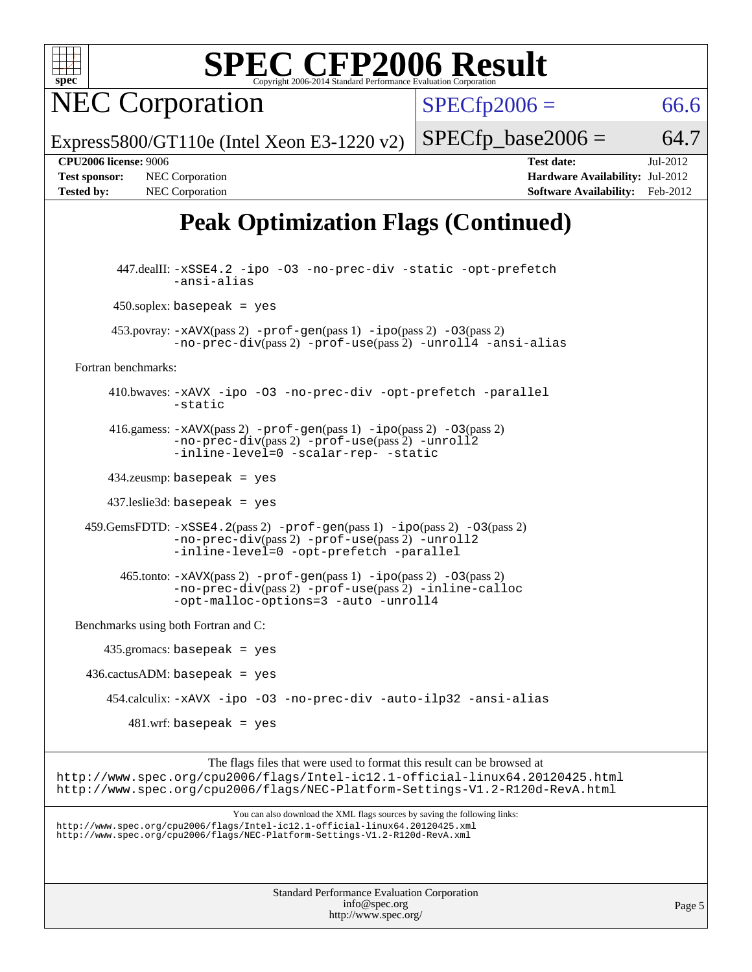

NEC Corporation

 $SPECfp2006 = 66.6$  $SPECfp2006 = 66.6$ 

Express5800/GT110e (Intel Xeon E3-1220 v2)

**[Tested by:](http://www.spec.org/auto/cpu2006/Docs/result-fields.html#Testedby)** NEC Corporation **[Software Availability:](http://www.spec.org/auto/cpu2006/Docs/result-fields.html#SoftwareAvailability)** Feb-2012

**[CPU2006 license:](http://www.spec.org/auto/cpu2006/Docs/result-fields.html#CPU2006license)** 9006 **[Test date:](http://www.spec.org/auto/cpu2006/Docs/result-fields.html#Testdate)** Jul-2012 **[Test sponsor:](http://www.spec.org/auto/cpu2006/Docs/result-fields.html#Testsponsor)** NEC Corporation **[Hardware Availability:](http://www.spec.org/auto/cpu2006/Docs/result-fields.html#HardwareAvailability)** Jul-2012

 $SPECTp\_base2006 = 64.7$ 

## **[Peak Optimization Flags \(Continued\)](http://www.spec.org/auto/cpu2006/Docs/result-fields.html#PeakOptimizationFlags)**

 447.dealII: [-xSSE4.2](http://www.spec.org/cpu2006/results/res2012q3/cpu2006-20120713-23662.flags.html#user_peakCXXOPTIMIZE447_dealII_f-xSSE42_f91528193cf0b216347adb8b939d4107) [-ipo](http://www.spec.org/cpu2006/results/res2012q3/cpu2006-20120713-23662.flags.html#user_peakCXXOPTIMIZE447_dealII_f-ipo) [-O3](http://www.spec.org/cpu2006/results/res2012q3/cpu2006-20120713-23662.flags.html#user_peakCXXOPTIMIZE447_dealII_f-O3) [-no-prec-div](http://www.spec.org/cpu2006/results/res2012q3/cpu2006-20120713-23662.flags.html#user_peakCXXOPTIMIZE447_dealII_f-no-prec-div) [-static](http://www.spec.org/cpu2006/results/res2012q3/cpu2006-20120713-23662.flags.html#user_peakCXXOPTIMIZE447_dealII_f-static) [-opt-prefetch](http://www.spec.org/cpu2006/results/res2012q3/cpu2006-20120713-23662.flags.html#user_peakCXXOPTIMIZE447_dealII_f-opt-prefetch) [-ansi-alias](http://www.spec.org/cpu2006/results/res2012q3/cpu2006-20120713-23662.flags.html#user_peakCXXOPTIMIZE447_dealII_f-ansi-alias)  $450$ .soplex: basepeak = yes 453.povray: [-xAVX](http://www.spec.org/cpu2006/results/res2012q3/cpu2006-20120713-23662.flags.html#user_peakPASS2_CXXFLAGSPASS2_LDFLAGS453_povray_f-xAVX)(pass 2) [-prof-gen](http://www.spec.org/cpu2006/results/res2012q3/cpu2006-20120713-23662.flags.html#user_peakPASS1_CXXFLAGSPASS1_LDFLAGS453_povray_prof_gen_e43856698f6ca7b7e442dfd80e94a8fc)(pass 1) [-ipo](http://www.spec.org/cpu2006/results/res2012q3/cpu2006-20120713-23662.flags.html#user_peakPASS2_CXXFLAGSPASS2_LDFLAGS453_povray_f-ipo)(pass 2) [-O3](http://www.spec.org/cpu2006/results/res2012q3/cpu2006-20120713-23662.flags.html#user_peakPASS2_CXXFLAGSPASS2_LDFLAGS453_povray_f-O3)(pass 2) [-no-prec-div](http://www.spec.org/cpu2006/results/res2012q3/cpu2006-20120713-23662.flags.html#user_peakPASS2_CXXFLAGSPASS2_LDFLAGS453_povray_f-no-prec-div)(pass 2) [-prof-use](http://www.spec.org/cpu2006/results/res2012q3/cpu2006-20120713-23662.flags.html#user_peakPASS2_CXXFLAGSPASS2_LDFLAGS453_povray_prof_use_bccf7792157ff70d64e32fe3e1250b55)(pass 2) [-unroll4](http://www.spec.org/cpu2006/results/res2012q3/cpu2006-20120713-23662.flags.html#user_peakCXXOPTIMIZE453_povray_f-unroll_4e5e4ed65b7fd20bdcd365bec371b81f) [-ansi-alias](http://www.spec.org/cpu2006/results/res2012q3/cpu2006-20120713-23662.flags.html#user_peakCXXOPTIMIZE453_povray_f-ansi-alias) [Fortran benchmarks](http://www.spec.org/auto/cpu2006/Docs/result-fields.html#Fortranbenchmarks): 410.bwaves: [-xAVX](http://www.spec.org/cpu2006/results/res2012q3/cpu2006-20120713-23662.flags.html#user_peakOPTIMIZE410_bwaves_f-xAVX) [-ipo](http://www.spec.org/cpu2006/results/res2012q3/cpu2006-20120713-23662.flags.html#user_peakOPTIMIZE410_bwaves_f-ipo) [-O3](http://www.spec.org/cpu2006/results/res2012q3/cpu2006-20120713-23662.flags.html#user_peakOPTIMIZE410_bwaves_f-O3) [-no-prec-div](http://www.spec.org/cpu2006/results/res2012q3/cpu2006-20120713-23662.flags.html#user_peakOPTIMIZE410_bwaves_f-no-prec-div) [-opt-prefetch](http://www.spec.org/cpu2006/results/res2012q3/cpu2006-20120713-23662.flags.html#user_peakOPTIMIZE410_bwaves_f-opt-prefetch) [-parallel](http://www.spec.org/cpu2006/results/res2012q3/cpu2006-20120713-23662.flags.html#user_peakOPTIMIZE410_bwaves_f-parallel) [-static](http://www.spec.org/cpu2006/results/res2012q3/cpu2006-20120713-23662.flags.html#user_peakOPTIMIZE410_bwaves_f-static) 416.gamess:  $-x$ AVX(pass 2)  $-p$ rof-gen(pass 1)  $-i$ po(pass 2)  $-$ O3(pass 2) [-no-prec-div](http://www.spec.org/cpu2006/results/res2012q3/cpu2006-20120713-23662.flags.html#user_peakPASS2_FFLAGSPASS2_LDFLAGS416_gamess_f-no-prec-div)(pass 2) [-prof-use](http://www.spec.org/cpu2006/results/res2012q3/cpu2006-20120713-23662.flags.html#user_peakPASS2_FFLAGSPASS2_LDFLAGS416_gamess_prof_use_bccf7792157ff70d64e32fe3e1250b55)(pass 2) [-unroll2](http://www.spec.org/cpu2006/results/res2012q3/cpu2006-20120713-23662.flags.html#user_peakOPTIMIZE416_gamess_f-unroll_784dae83bebfb236979b41d2422d7ec2) [-inline-level=0](http://www.spec.org/cpu2006/results/res2012q3/cpu2006-20120713-23662.flags.html#user_peakOPTIMIZE416_gamess_f-inline-level_318d07a09274ad25e8d15dbfaa68ba50) [-scalar-rep-](http://www.spec.org/cpu2006/results/res2012q3/cpu2006-20120713-23662.flags.html#user_peakOPTIMIZE416_gamess_f-disablescalarrep_abbcad04450fb118e4809c81d83c8a1d) [-static](http://www.spec.org/cpu2006/results/res2012q3/cpu2006-20120713-23662.flags.html#user_peakOPTIMIZE416_gamess_f-static) 434.zeusmp: basepeak = yes 437.leslie3d: basepeak = yes 459.GemsFDTD: [-xSSE4.2](http://www.spec.org/cpu2006/results/res2012q3/cpu2006-20120713-23662.flags.html#user_peakPASS2_FFLAGSPASS2_LDFLAGS459_GemsFDTD_f-xSSE42_f91528193cf0b216347adb8b939d4107)(pass 2) [-prof-gen](http://www.spec.org/cpu2006/results/res2012q3/cpu2006-20120713-23662.flags.html#user_peakPASS1_FFLAGSPASS1_LDFLAGS459_GemsFDTD_prof_gen_e43856698f6ca7b7e442dfd80e94a8fc)(pass 1) [-ipo](http://www.spec.org/cpu2006/results/res2012q3/cpu2006-20120713-23662.flags.html#user_peakPASS2_FFLAGSPASS2_LDFLAGS459_GemsFDTD_f-ipo)(pass 2) [-O3](http://www.spec.org/cpu2006/results/res2012q3/cpu2006-20120713-23662.flags.html#user_peakPASS2_FFLAGSPASS2_LDFLAGS459_GemsFDTD_f-O3)(pass 2) [-no-prec-div](http://www.spec.org/cpu2006/results/res2012q3/cpu2006-20120713-23662.flags.html#user_peakPASS2_FFLAGSPASS2_LDFLAGS459_GemsFDTD_f-no-prec-div)(pass 2) [-prof-use](http://www.spec.org/cpu2006/results/res2012q3/cpu2006-20120713-23662.flags.html#user_peakPASS2_FFLAGSPASS2_LDFLAGS459_GemsFDTD_prof_use_bccf7792157ff70d64e32fe3e1250b55)(pass 2) [-unroll2](http://www.spec.org/cpu2006/results/res2012q3/cpu2006-20120713-23662.flags.html#user_peakOPTIMIZE459_GemsFDTD_f-unroll_784dae83bebfb236979b41d2422d7ec2) [-inline-level=0](http://www.spec.org/cpu2006/results/res2012q3/cpu2006-20120713-23662.flags.html#user_peakOPTIMIZE459_GemsFDTD_f-inline-level_318d07a09274ad25e8d15dbfaa68ba50) [-opt-prefetch](http://www.spec.org/cpu2006/results/res2012q3/cpu2006-20120713-23662.flags.html#user_peakOPTIMIZE459_GemsFDTD_f-opt-prefetch) [-parallel](http://www.spec.org/cpu2006/results/res2012q3/cpu2006-20120713-23662.flags.html#user_peakOPTIMIZE459_GemsFDTD_f-parallel)  $465$ .tonto:  $-x$ AVX(pass 2)  $-p$ rof-gen(pass 1)  $-p$ o(pass 2)  $-03$ (pass 2) [-no-prec-div](http://www.spec.org/cpu2006/results/res2012q3/cpu2006-20120713-23662.flags.html#user_peakPASS2_FFLAGSPASS2_LDFLAGS465_tonto_f-no-prec-div)(pass 2) [-prof-use](http://www.spec.org/cpu2006/results/res2012q3/cpu2006-20120713-23662.flags.html#user_peakPASS2_FFLAGSPASS2_LDFLAGS465_tonto_prof_use_bccf7792157ff70d64e32fe3e1250b55)(pass 2) [-inline-calloc](http://www.spec.org/cpu2006/results/res2012q3/cpu2006-20120713-23662.flags.html#user_peakOPTIMIZE465_tonto_f-inline-calloc) [-opt-malloc-options=3](http://www.spec.org/cpu2006/results/res2012q3/cpu2006-20120713-23662.flags.html#user_peakOPTIMIZE465_tonto_f-opt-malloc-options_13ab9b803cf986b4ee62f0a5998c2238) [-auto](http://www.spec.org/cpu2006/results/res2012q3/cpu2006-20120713-23662.flags.html#user_peakOPTIMIZE465_tonto_f-auto) [-unroll4](http://www.spec.org/cpu2006/results/res2012q3/cpu2006-20120713-23662.flags.html#user_peakOPTIMIZE465_tonto_f-unroll_4e5e4ed65b7fd20bdcd365bec371b81f) [Benchmarks using both Fortran and C](http://www.spec.org/auto/cpu2006/Docs/result-fields.html#BenchmarksusingbothFortranandC): 435.gromacs: basepeak = yes 436.cactusADM: basepeak = yes 454.calculix: [-xAVX](http://www.spec.org/cpu2006/results/res2012q3/cpu2006-20120713-23662.flags.html#user_peakOPTIMIZE454_calculix_f-xAVX) [-ipo](http://www.spec.org/cpu2006/results/res2012q3/cpu2006-20120713-23662.flags.html#user_peakOPTIMIZE454_calculix_f-ipo) [-O3](http://www.spec.org/cpu2006/results/res2012q3/cpu2006-20120713-23662.flags.html#user_peakOPTIMIZE454_calculix_f-O3) [-no-prec-div](http://www.spec.org/cpu2006/results/res2012q3/cpu2006-20120713-23662.flags.html#user_peakOPTIMIZE454_calculix_f-no-prec-div) [-auto-ilp32](http://www.spec.org/cpu2006/results/res2012q3/cpu2006-20120713-23662.flags.html#user_peakCOPTIMIZE454_calculix_f-auto-ilp32) [-ansi-alias](http://www.spec.org/cpu2006/results/res2012q3/cpu2006-20120713-23662.flags.html#user_peakCOPTIMIZE454_calculix_f-ansi-alias)  $481.$ wrf: basepeak = yes The flags files that were used to format this result can be browsed at <http://www.spec.org/cpu2006/flags/Intel-ic12.1-official-linux64.20120425.html> <http://www.spec.org/cpu2006/flags/NEC-Platform-Settings-V1.2-R120d-RevA.html> You can also download the XML flags sources by saving the following links: <http://www.spec.org/cpu2006/flags/Intel-ic12.1-official-linux64.20120425.xml> <http://www.spec.org/cpu2006/flags/NEC-Platform-Settings-V1.2-R120d-RevA.xml>